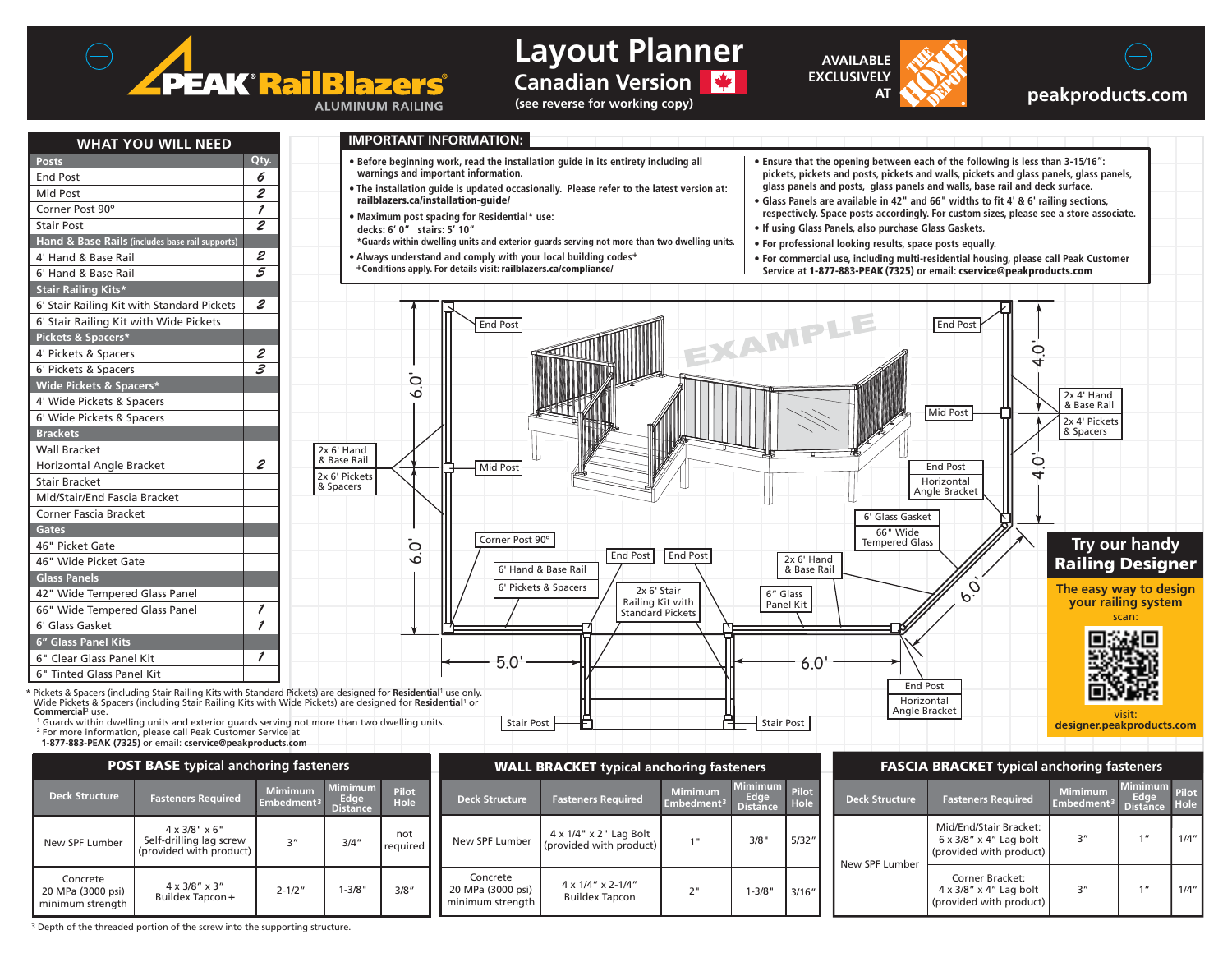

## **Layout Planner Canadian Version**

**AVAILABLE EXCLUSIVELY AT**



## **Carifordial Version Later Community Community Community** AT **ANSALE STATE SERVICES** peakproducts.com

| <b>WHAT YOU WILL NEED</b><br><b>Posts</b><br><b>End Post</b><br>Mid Post<br>Corner Post 90°<br><b>Stair Post</b><br><b>Hand &amp; Base Rails (includes base rail supports)</b><br>4' Hand & Base Rail<br>6' Hand & Base Rail                                                       | Qty.<br>6<br>$\boldsymbol{\mathcal{Z}}$<br>$\boldsymbol{\ell}$<br>$\boldsymbol{z}$<br>$\boldsymbol{\mathcal{Z}}$<br>$\overline{\mathcal{S}}$ | <b>IMPORTANT INFORMATION:</b><br>. Before beginning work, read the installation guide in its entirety including all<br>. "Ensure that the opening between each of the following is less than 3-15/16":<br>warnings and important information.<br>pickets, pickets and posts, pickets and walls, pickets and glass panels, glass panels,<br>glass panels and posts, glass panels and walls, base rail and deck surface.<br>. The installation guide is updated occasionally. Please refer to the latest version at:<br>railblazers.ca/installation-quide/<br>• Glass Panels are available in 42" and 66" widths to fit 4' & 6' railing sections,<br>respectively. Space posts accordingly. For custom sizes, please see a store associate.<br>. Maximum post spacing for Residential* use:<br>. If using Glass Panels, also purchase Glass Gaskets.<br>decks: 6' 0" stairs: 5' 10"<br>*Guards within dwelling units and exterior guards serving not more than two dwelling units.<br>• For professional looking results, space posts equally.<br>• Always understand and comply with your local building codes <sup>+</sup><br>• For commercial use, including multi-residential housing, please call Peak Customer<br>+Conditions apply. For details visit: railblazers.ca/compliance/<br>Service at 1-877-883-PEAK (7325) or email: cservice@peakproducts.com |
|------------------------------------------------------------------------------------------------------------------------------------------------------------------------------------------------------------------------------------------------------------------------------------|----------------------------------------------------------------------------------------------------------------------------------------------|----------------------------------------------------------------------------------------------------------------------------------------------------------------------------------------------------------------------------------------------------------------------------------------------------------------------------------------------------------------------------------------------------------------------------------------------------------------------------------------------------------------------------------------------------------------------------------------------------------------------------------------------------------------------------------------------------------------------------------------------------------------------------------------------------------------------------------------------------------------------------------------------------------------------------------------------------------------------------------------------------------------------------------------------------------------------------------------------------------------------------------------------------------------------------------------------------------------------------------------------------------------------------------------------------------------------------------------------------------------|
| <b>Stair Railing Kits*</b><br>6' Stair Railing Kit with Standard Pickets                                                                                                                                                                                                           | г                                                                                                                                            |                                                                                                                                                                                                                                                                                                                                                                                                                                                                                                                                                                                                                                                                                                                                                                                                                                                                                                                                                                                                                                                                                                                                                                                                                                                                                                                                                                |
| 6' Stair Railing Kit with Wide Pickets                                                                                                                                                                                                                                             |                                                                                                                                              | EXAMPLE<br>End Post<br><b>End Post</b>                                                                                                                                                                                                                                                                                                                                                                                                                                                                                                                                                                                                                                                                                                                                                                                                                                                                                                                                                                                                                                                                                                                                                                                                                                                                                                                         |
| Pickets & Spacers*                                                                                                                                                                                                                                                                 |                                                                                                                                              |                                                                                                                                                                                                                                                                                                                                                                                                                                                                                                                                                                                                                                                                                                                                                                                                                                                                                                                                                                                                                                                                                                                                                                                                                                                                                                                                                                |
| 4' Pickets & Spacers                                                                                                                                                                                                                                                               | г                                                                                                                                            | $\circ$                                                                                                                                                                                                                                                                                                                                                                                                                                                                                                                                                                                                                                                                                                                                                                                                                                                                                                                                                                                                                                                                                                                                                                                                                                                                                                                                                        |
| 6' Pickets & Spacers                                                                                                                                                                                                                                                               | $\overline{s}$                                                                                                                               |                                                                                                                                                                                                                                                                                                                                                                                                                                                                                                                                                                                                                                                                                                                                                                                                                                                                                                                                                                                                                                                                                                                                                                                                                                                                                                                                                                |
| Wide Pickets & Spacers*                                                                                                                                                                                                                                                            |                                                                                                                                              | $\circ$                                                                                                                                                                                                                                                                                                                                                                                                                                                                                                                                                                                                                                                                                                                                                                                                                                                                                                                                                                                                                                                                                                                                                                                                                                                                                                                                                        |
| 4' Wide Pickets & Spacers                                                                                                                                                                                                                                                          |                                                                                                                                              | 2x 4' Hand<br>& Base Rail                                                                                                                                                                                                                                                                                                                                                                                                                                                                                                                                                                                                                                                                                                                                                                                                                                                                                                                                                                                                                                                                                                                                                                                                                                                                                                                                      |
| 6' Wide Pickets & Spacers                                                                                                                                                                                                                                                          |                                                                                                                                              | Mid Post<br>2x 4' Pickets                                                                                                                                                                                                                                                                                                                                                                                                                                                                                                                                                                                                                                                                                                                                                                                                                                                                                                                                                                                                                                                                                                                                                                                                                                                                                                                                      |
| <b>Brackets</b>                                                                                                                                                                                                                                                                    |                                                                                                                                              | & Spacers                                                                                                                                                                                                                                                                                                                                                                                                                                                                                                                                                                                                                                                                                                                                                                                                                                                                                                                                                                                                                                                                                                                                                                                                                                                                                                                                                      |
| Wall Bracket                                                                                                                                                                                                                                                                       |                                                                                                                                              | 2x 6' Hand<br>& Base Rail                                                                                                                                                                                                                                                                                                                                                                                                                                                                                                                                                                                                                                                                                                                                                                                                                                                                                                                                                                                                                                                                                                                                                                                                                                                                                                                                      |
| <b>Horizontal Angle Bracket</b>                                                                                                                                                                                                                                                    | г                                                                                                                                            | $\circ$<br><b>Mid Post</b><br><b>End Post</b><br>2x 6' Pickets                                                                                                                                                                                                                                                                                                                                                                                                                                                                                                                                                                                                                                                                                                                                                                                                                                                                                                                                                                                                                                                                                                                                                                                                                                                                                                 |
| <b>Stair Bracket</b>                                                                                                                                                                                                                                                               |                                                                                                                                              | Horizontal<br>& Spacers<br>Angle Bracket                                                                                                                                                                                                                                                                                                                                                                                                                                                                                                                                                                                                                                                                                                                                                                                                                                                                                                                                                                                                                                                                                                                                                                                                                                                                                                                       |
| Mid/Stair/End Fascia Bracket                                                                                                                                                                                                                                                       |                                                                                                                                              |                                                                                                                                                                                                                                                                                                                                                                                                                                                                                                                                                                                                                                                                                                                                                                                                                                                                                                                                                                                                                                                                                                                                                                                                                                                                                                                                                                |
| Corner Fascia Bracket                                                                                                                                                                                                                                                              |                                                                                                                                              | 6' Glass Gasket                                                                                                                                                                                                                                                                                                                                                                                                                                                                                                                                                                                                                                                                                                                                                                                                                                                                                                                                                                                                                                                                                                                                                                                                                                                                                                                                                |
| Gates                                                                                                                                                                                                                                                                              |                                                                                                                                              | 66" Wide<br>Corner Post 90°<br><b>Tempered Glass</b>                                                                                                                                                                                                                                                                                                                                                                                                                                                                                                                                                                                                                                                                                                                                                                                                                                                                                                                                                                                                                                                                                                                                                                                                                                                                                                           |
| 46" Picket Gate                                                                                                                                                                                                                                                                    |                                                                                                                                              | Try our handy<br>$\circ$<br><b>End Post</b><br><b>End Post</b><br>2x 6' Hand<br>∾                                                                                                                                                                                                                                                                                                                                                                                                                                                                                                                                                                                                                                                                                                                                                                                                                                                                                                                                                                                                                                                                                                                                                                                                                                                                              |
| 46" Wide Picket Gate<br><b>Glass Panels</b>                                                                                                                                                                                                                                        |                                                                                                                                              | <b>Railing Designer</b><br>6' Hand & Base Rail<br>& Base Rail                                                                                                                                                                                                                                                                                                                                                                                                                                                                                                                                                                                                                                                                                                                                                                                                                                                                                                                                                                                                                                                                                                                                                                                                                                                                                                  |
| 42" Wide Tempered Glass Panel                                                                                                                                                                                                                                                      |                                                                                                                                              | $\overline{\rho}$<br>6' Pickets & Spacers<br>The easy way to design<br>2x 6' Stair<br>6" Glass                                                                                                                                                                                                                                                                                                                                                                                                                                                                                                                                                                                                                                                                                                                                                                                                                                                                                                                                                                                                                                                                                                                                                                                                                                                                 |
| 66" Wide Tempered Glass Panel                                                                                                                                                                                                                                                      | $\prime$                                                                                                                                     | Railing Kit with<br><b>vour railing system</b><br>Panel Kit                                                                                                                                                                                                                                                                                                                                                                                                                                                                                                                                                                                                                                                                                                                                                                                                                                                                                                                                                                                                                                                                                                                                                                                                                                                                                                    |
| 6' Glass Gasket                                                                                                                                                                                                                                                                    | $\overline{\mathbf{z}}$                                                                                                                      | <b>Standard Pickets</b><br>scan:                                                                                                                                                                                                                                                                                                                                                                                                                                                                                                                                                                                                                                                                                                                                                                                                                                                                                                                                                                                                                                                                                                                                                                                                                                                                                                                               |
| 6" Glass Panel Kits                                                                                                                                                                                                                                                                |                                                                                                                                              |                                                                                                                                                                                                                                                                                                                                                                                                                                                                                                                                                                                                                                                                                                                                                                                                                                                                                                                                                                                                                                                                                                                                                                                                                                                                                                                                                                |
| 6" Clear Glass Panel Kit                                                                                                                                                                                                                                                           | $\prime$                                                                                                                                     | 5.0                                                                                                                                                                                                                                                                                                                                                                                                                                                                                                                                                                                                                                                                                                                                                                                                                                                                                                                                                                                                                                                                                                                                                                                                                                                                                                                                                            |
| 6" Tinted Glass Panel Kit                                                                                                                                                                                                                                                          |                                                                                                                                              | 6.0                                                                                                                                                                                                                                                                                                                                                                                                                                                                                                                                                                                                                                                                                                                                                                                                                                                                                                                                                                                                                                                                                                                                                                                                                                                                                                                                                            |
|                                                                                                                                                                                                                                                                                    |                                                                                                                                              | <b>End Post</b>                                                                                                                                                                                                                                                                                                                                                                                                                                                                                                                                                                                                                                                                                                                                                                                                                                                                                                                                                                                                                                                                                                                                                                                                                                                                                                                                                |
| * Pickets & Spacers (including Stair Railing Kits with Standard Pickets) are designed for <mark>Residential</mark> ' use only.<br>Wide Pickets & Spacers (including Stair Railing Kits with Wide Pickets) are designed for <b>Residential</b> ' or<br>Commercial <sup>2</sup> use. |                                                                                                                                              | Horizontal<br>Angle Bracket                                                                                                                                                                                                                                                                                                                                                                                                                                                                                                                                                                                                                                                                                                                                                                                                                                                                                                                                                                                                                                                                                                                                                                                                                                                                                                                                    |
| <sup>1</sup> Guards within dwelling units and exterior guards serving not more than two dwelling units.                                                                                                                                                                            |                                                                                                                                              | <b>Stair Post</b><br><b>Stair Post</b><br>designer.peakproducts.com                                                                                                                                                                                                                                                                                                                                                                                                                                                                                                                                                                                                                                                                                                                                                                                                                                                                                                                                                                                                                                                                                                                                                                                                                                                                                            |

Vide Pickets & pacers (including stair Kalling Kits with Wide Pickets) are designed for Resider<br>Commercial<sup>2</sup> use.<br><sup>1</sup> Guards within dwelling units and exterior guards serving not more than two dwelling units.<br><sup>2</sup> For more

**1-877-883-PEAK (7325)** or email: **cservice@peakproducts.com**

|                                                   | <b>POST BASE typical anchoring fasteners</b>                                        |                                          |                                           | <b>WALL</b>                 |  |                                                   |
|---------------------------------------------------|-------------------------------------------------------------------------------------|------------------------------------------|-------------------------------------------|-----------------------------|--|---------------------------------------------------|
| <b>Deck Structure</b>                             | <b>Fasteners Required</b>                                                           | <b>Mimimum</b><br>Embedment <sup>3</sup> | <b>Mimimum</b><br>Edge<br><b>Distance</b> | <b>Pilot</b><br><b>Hole</b> |  | <b>Deck Structure</b>                             |
| New SPF Lumber                                    | $4 \times 3/8$ " $\times 6$ "<br>Self-drilling lag screw<br>(provided with product) | 3''                                      | 3/4''                                     | not<br>required             |  | New SPF Lumber                                    |
| Concrete<br>20 MPa (3000 psi)<br>minimum strength | $4 \times 3/8'' \times 3''$<br>Buildex Tapcon +                                     | $2 - 1/2"$                               | $1 - 3/8"$                                | 3/8''                       |  | Concrete<br>20 MPa (3000 psi)<br>minimum strengtl |

|                                                 | <b>POST BASE typical anchoring fasteners</b>                                    |                                          |                                           |                      | <b>WALL BRACKET typical anchoring fasteners</b>   |                                                              |                                          |                                                  | <b>FASCIA BRACKET typica</b> |                       |                                                                             |
|-------------------------------------------------|---------------------------------------------------------------------------------|------------------------------------------|-------------------------------------------|----------------------|---------------------------------------------------|--------------------------------------------------------------|------------------------------------------|--------------------------------------------------|------------------------------|-----------------------|-----------------------------------------------------------------------------|
| Deck Structure                                  | <b>Fasteners Required</b>                                                       | <b>Mimimum</b><br>Embedment <sup>3</sup> | <b>Mimimum</b><br>Edge<br><b>Distance</b> | Pilot<br><b>Hole</b> | <b>Deck Structure</b>                             | <b>Fasteners Required</b>                                    | <b>Mimimum</b><br>Embedment <sup>3</sup> | <b>Mimimum</b><br><b>Edge</b><br><b>Distance</b> | Pilot<br><b>Hole</b>         | <b>Deck Structure</b> | <b>Fasteners Required</b>                                                   |
| lew SPF Lumber                                  | $4 \times 3/8" \times 6"$<br>Self-drilling lag screw<br>(provided with product) | 3"                                       | 3/4''                                     | not<br>required      | New SPF Lumber                                    | 4 x 1/4" x 2" Lag Bolt<br>(provided with product)            |                                          | 3/8"                                             | 5/32"                        |                       | Mid/End/Stair Bracke<br>6 x 3/8" x 4" Lag bo<br>(provided with produ        |
| Concrete<br>) MPa (3000 psi)<br>inimum strength | $4 \times 3/8'' \times 3''$<br>Buildex Tapcon +                                 | $2 - 1/2"$                               | $1 - 3/8"$                                | 3/8''                | Concrete<br>20 MPa (3000 psi)<br>minimum strenath | $4 \times 1/4$ " $\times 2 - 1/4$ "<br><b>Buildex Tapcon</b> |                                          | $1 - 3/8$                                        | 3/16''                       | New SPF Lumber        | Corner Bracket:<br>$4 \times 3/8" \times 4"$ Lag bo<br>(provided with produ |

## WALL BRACKET **typical anchoring fasteners** FASCIA BRACKET **typical anchoring fasteners**

visit: **designer.peakproducts.com**

| <b>Deck Structure</b> | <b>Fasteners Required</b>                                                               | <b>Mimimum</b><br>Embedment <sup>3</sup> | <b>Mimimum</b><br>Edge<br><b>Distance</b> | <b>Pilot</b><br>Hole |
|-----------------------|-----------------------------------------------------------------------------------------|------------------------------------------|-------------------------------------------|----------------------|
| <b>New SPF Lumber</b> | Mid/End/Stair Bracket:<br>$6 \times 3/8" \times 4"$ Lag bolt<br>(provided with product) | ٦"                                       | 1 <sup>''</sup>                           | 1/4"                 |
|                       | Corner Bracket:<br>4 x 3/8" x 4" Lag bolt<br>(provided with product)                    | ٦"                                       | 1 <sup>''</sup>                           | 1/4"                 |

<sup>3</sup> Depth of the threaded portion of the screw into the supporting structure.